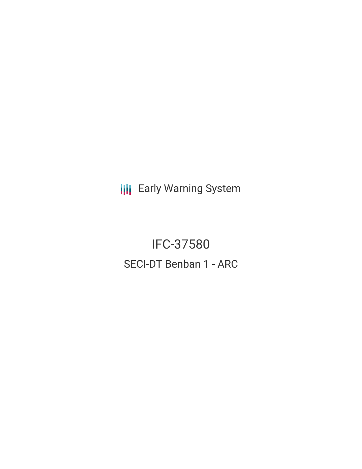**III** Early Warning System

**IFC-37580 SECI-DT Benban 1 - ARC**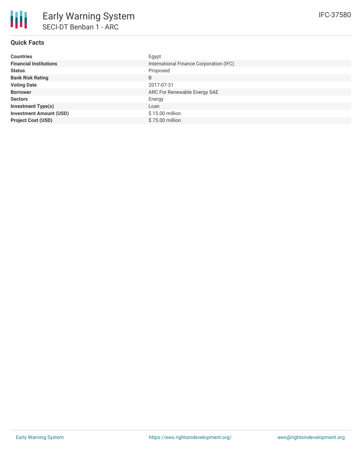## **Quick Facts**

| <b>Countries</b>               | Egypt                                   |
|--------------------------------|-----------------------------------------|
| <b>Financial Institutions</b>  | International Finance Corporation (IFC) |
| <b>Status</b>                  | Proposed                                |
| <b>Bank Risk Rating</b>        | B                                       |
| <b>Voting Date</b>             | 2017-07-31                              |
| <b>Borrower</b>                | ARC For Renewable Energy SAE            |
| <b>Sectors</b>                 | Energy                                  |
| <b>Investment Type(s)</b>      | Loan                                    |
| <b>Investment Amount (USD)</b> | $$15.00$ million                        |
| <b>Project Cost (USD)</b>      | \$75.00 million                         |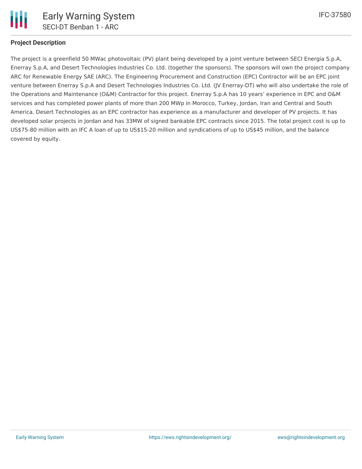

## **Project Description**

The project is a greenfield 50 MWac photovoltaic (PV) plant being developed by a joint venture between SECI Energia S.p.A, Enerray S.p.A, and Desert Technologies Industries Co. Ltd. (together the sponsors). The sponsors will own the project company ARC for Renewable Energy SAE (ARC). The Engineering Procurement and Construction (EPC) Contractor will be an EPC joint venture between Enerray S.p.A and Desert Technologies Industries Co. Ltd. (JV Enerray-DT) who will also undertake the role of the Operations and Maintenance (O&M) Contractor for this project. Enerray S.p.A has 10 years' experience in EPC and O&M services and has completed power plants of more than 200 MWp in Morocco, Turkey, Jordan, Iran and Central and South America. Desert Technologies as an EPC contractor has experience as a manufacturer and developer of PV projects. It has developed solar projects in Jordan and has 33MW of signed bankable EPC contracts since 2015. The total project cost is up to US\$75-80 million with an IFC A loan of up to US\$15-20 million and syndications of up to US\$45 million, and the balance covered by equity.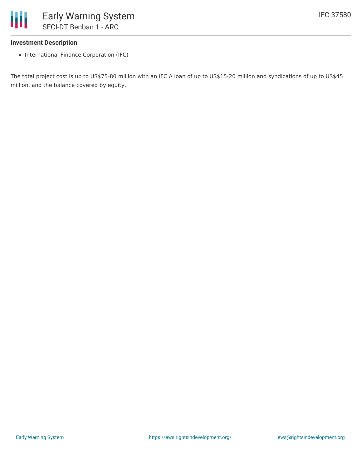

## **Investment Description**

• International Finance Corporation (IFC)

The total project cost is up to US\$75-80 million with an IFC A loan of up to US\$15-20 million and syndications of up to US\$45 million, and the balance covered by equity.